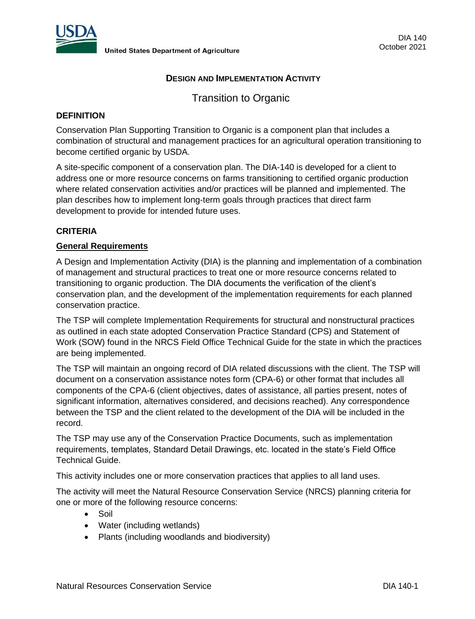

# **DESIGN AND IMPLEMENTATION ACTIVITY**

Transition to Organic

# **DEFINITION**

Conservation Plan Supporting Transition to Organic is a component plan that includes a combination of structural and management practices for an agricultural operation transitioning to become certified organic by USDA.

A site-specific component of a conservation plan. The DIA-140 is developed for a client to address one or more resource concerns on farms transitioning to certified organic production where related conservation activities and/or practices will be planned and implemented. The plan describes how to implement long-term goals through practices that direct farm development to provide for intended future uses.

# **CRITERIA**

# **General Requirements**

A Design and Implementation Activity (DIA) is the planning and implementation of a combination of management and structural practices to treat one or more resource concerns related to transitioning to organic production. The DIA documents the verification of the client's conservation plan, and the development of the implementation requirements for each planned conservation practice.

The TSP will complete Implementation Requirements for structural and nonstructural practices as outlined in each state adopted Conservation Practice Standard (CPS) and Statement of Work (SOW) found in the NRCS Field Office Technical Guide for the state in which the practices are being implemented.

The TSP will maintain an ongoing record of DIA related discussions with the client. The TSP will document on a conservation assistance notes form (CPA-6) or other format that includes all components of the CPA-6 (client objectives, dates of assistance, all parties present, notes of significant information, alternatives considered, and decisions reached). Any correspondence between the TSP and the client related to the development of the DIA will be included in the record.

The TSP may use any of the Conservation Practice Documents, such as implementation requirements, templates, Standard Detail Drawings, etc. located in the state's Field Office Technical Guide.

This activity includes one or more conservation practices that applies to all land uses.

The activity will meet the Natural Resource Conservation Service (NRCS) planning criteria for one or more of the following resource concerns:

- Soil
- Water (including wetlands)
- Plants (including woodlands and biodiversity)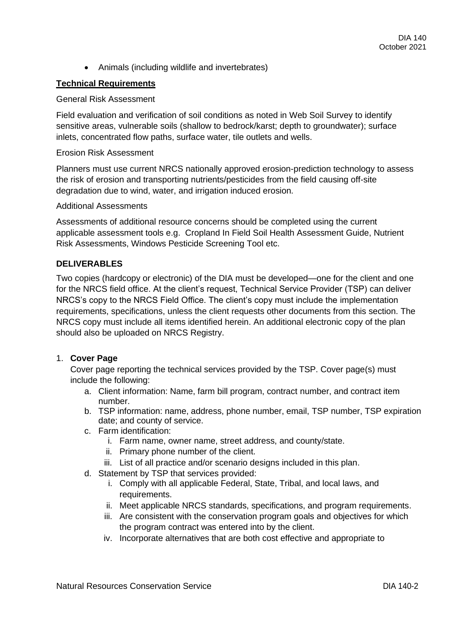• Animals (including wildlife and invertebrates)

# **Technical Requirements**

# General Risk Assessment

Field evaluation and verification of soil conditions as noted in Web Soil Survey to identify sensitive areas, vulnerable soils (shallow to bedrock/karst; depth to groundwater); surface inlets, concentrated flow paths, surface water, tile outlets and wells.

#### Erosion Risk Assessment

Planners must use current NRCS nationally approved erosion-prediction technology to assess the risk of erosion and transporting nutrients/pesticides from the field causing off-site degradation due to wind, water, and irrigation induced erosion.

## Additional Assessments

Assessments of additional resource concerns should be completed using the current applicable assessment tools e.g. Cropland In Field Soil Health Assessment Guide, Nutrient Risk Assessments, Windows Pesticide Screening Tool etc.

## **DELIVERABLES**

Two copies (hardcopy or electronic) of the DIA must be developed—one for the client and one for the NRCS field office. At the client's request, Technical Service Provider (TSP) can deliver NRCS's copy to the NRCS Field Office. The client's copy must include the implementation requirements, specifications, unless the client requests other documents from this section. The NRCS copy must include all items identified herein. An additional electronic copy of the plan should also be uploaded on NRCS Registry.

## 1. **Cover Page**

Cover page reporting the technical services provided by the TSP. Cover page(s) must include the following:

- a. Client information: Name, farm bill program, contract number, and contract item number.
- b. TSP information: name, address, phone number, email, TSP number, TSP expiration date; and county of service.
- c. Farm identification:
	- i. Farm name, owner name, street address, and county/state.
	- ii. Primary phone number of the client.
	- iii. List of all practice and/or scenario designs included in this plan.
- d. Statement by TSP that services provided:
	- i. Comply with all applicable Federal, State, Tribal, and local laws, and requirements.
	- ii. Meet applicable NRCS standards, specifications, and program requirements.
	- iii. Are consistent with the conservation program goals and objectives for which the program contract was entered into by the client.
	- iv. Incorporate alternatives that are both cost effective and appropriate to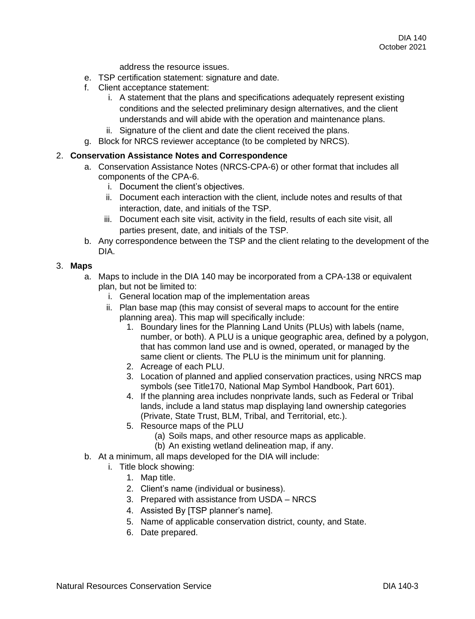address the resource issues.

- e. TSP certification statement: signature and date.
- f. Client acceptance statement:
	- i. A statement that the plans and specifications adequately represent existing conditions and the selected preliminary design alternatives, and the client understands and will abide with the operation and maintenance plans.
	- ii. Signature of the client and date the client received the plans.
- g. Block for NRCS reviewer acceptance (to be completed by NRCS).

## 2. **Conservation Assistance Notes and Correspondence**

- a. Conservation Assistance Notes (NRCS-CPA-6) or other format that includes all components of the CPA-6.
	- i. Document the client's objectives.
	- ii. Document each interaction with the client, include notes and results of that interaction, date, and initials of the TSP.
	- iii. Document each site visit, activity in the field, results of each site visit, all parties present, date, and initials of the TSP.
- b. Any correspondence between the TSP and the client relating to the development of the DIA.

## 3. **Maps**

a. Maps to include in the DIA 140 may be incorporated from a CPA-138 or equivalent plan, but not be limited to:

- i. General location map of the implementation areas
- ii. Plan base map (this may consist of several maps to account for the entire planning area). This map will specifically include:
	- 1. Boundary lines for the Planning Land Units (PLUs) with labels (name, number, or both). A PLU is a unique geographic area, defined by a polygon, that has common land use and is owned, operated, or managed by the same client or clients. The PLU is the minimum unit for planning.
	- 2. Acreage of each PLU.
	- 3. Location of planned and applied conservation practices, using NRCS map symbols (see Title170, National Map Symbol Handbook, Part 601).
	- 4. If the planning area includes nonprivate lands, such as Federal or Tribal lands, include a land status map displaying land ownership categories (Private, State Trust, BLM, Tribal, and Territorial, etc.).
	- 5. Resource maps of the PLU
		- (a) Soils maps, and other resource maps as applicable.
		- (b) An existing wetland delineation map, if any.
- b. At a minimum, all maps developed for the DIA will include:
	- i. Title block showing:
		- 1. Map title.
		- 2. Client's name (individual or business).
		- 3. Prepared with assistance from USDA NRCS
		- 4. Assisted By [TSP planner's name].
		- 5. Name of applicable conservation district, county, and State.
		- 6. Date prepared.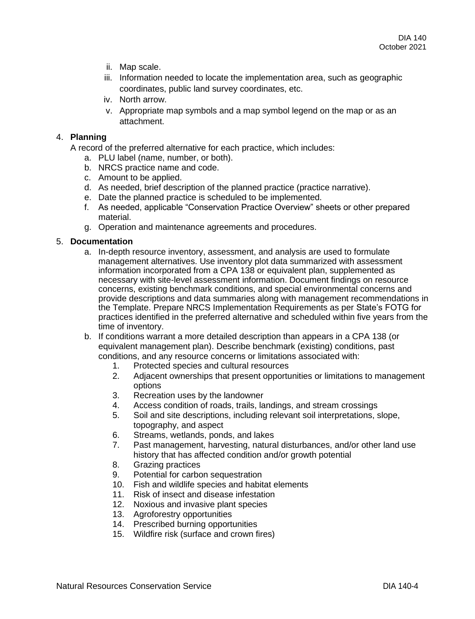- ii. Map scale.
- iii. Information needed to locate the implementation area, such as geographic coordinates, public land survey coordinates, etc.
- iv. North arrow.
- v. Appropriate map symbols and a map symbol legend on the map or as an attachment.

# 4. **Planning**

A record of the preferred alternative for each practice, which includes:

- a. PLU label (name, number, or both).
- b. NRCS practice name and code.
- c. Amount to be applied.
- d. As needed, brief description of the planned practice (practice narrative).
- e. Date the planned practice is scheduled to be implemented.
- f. As needed, applicable "Conservation Practice Overview" sheets or other prepared material.
- g. Operation and maintenance agreements and procedures.

## 5. **Documentation**

- a. In-depth resource inventory, assessment, and analysis are used to formulate management alternatives. Use inventory plot data summarized with assessment information incorporated from a CPA 138 or equivalent plan, supplemented as necessary with site-level assessment information. Document findings on resource concerns, existing benchmark conditions, and special environmental concerns and provide descriptions and data summaries along with management recommendations in the Template. Prepare NRCS Implementation Requirements as per State's FOTG for practices identified in the preferred alternative and scheduled within five years from the time of inventory.
- b. If conditions warrant a more detailed description than appears in a CPA 138 (or equivalent management plan). Describe benchmark (existing) conditions, past conditions, and any resource concerns or limitations associated with:
	- 1. Protected species and cultural resources
	- 2. Adjacent ownerships that present opportunities or limitations to management options
	- 3. Recreation uses by the landowner
	- 4. Access condition of roads, trails, landings, and stream crossings
	- 5. Soil and site descriptions, including relevant soil interpretations, slope, topography, and aspect
	- 6. Streams, wetlands, ponds, and lakes
	- 7. Past management, harvesting, natural disturbances, and/or other land use history that has affected condition and/or growth potential
	- 8. Grazing practices
	- 9. Potential for carbon sequestration
	- 10. Fish and wildlife species and habitat elements
	- 11. Risk of insect and disease infestation
	- 12. Noxious and invasive plant species
	- 13. Agroforestry opportunities
	- 14. Prescribed burning opportunities
	- 15. Wildfire risk (surface and crown fires)